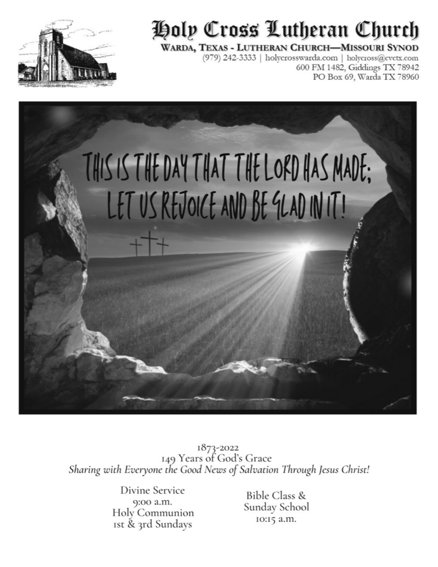

# Holp Cross Lutheran Church

#### WARDA, TEXAS - LUTHERAN CHURCH-MISSOURI SYNOD

(979) 242-3333 | holycrosswarda.com | holycross@cvctx.com 600 FM 1482, Giddings TX 78942 PO Box 69, Warda TX 78960



1873-2022<br>149 Years of God's Grace Sharing with Everyone the Good News of Salvation Through Jesus Christ!

> Divine Service 9:00 a.m. Holy Communion Ist & 3rd Sundays

**Bible Class &** Sunday School 10:15 a.m.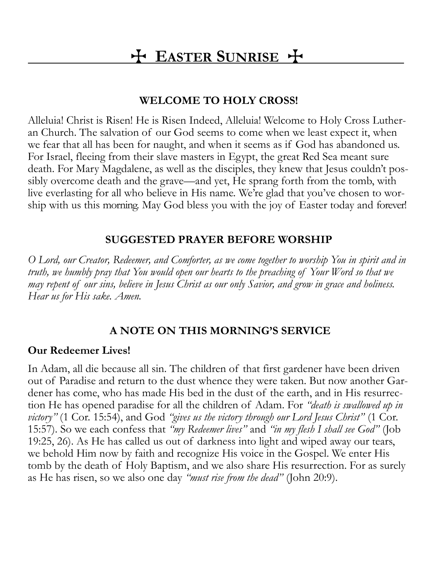# T **EASTER SUNRISE** T

### **WELCOME TO HOLY CROSS!**

Alleluia! Christ is Risen! He is Risen Indeed, Alleluia! Welcome to Holy Cross Lutheran Church. The salvation of our God seems to come when we least expect it, when we fear that all has been for naught, and when it seems as if God has abandoned us. For Israel, fleeing from their slave masters in Egypt, the great Red Sea meant sure death. For Mary Magdalene, as well as the disciples, they knew that Jesus couldn't possibly overcome death and the grave—and yet, He sprang forth from the tomb, with live everlasting for all who believe in His name. We're glad that you've chosen to worship with us this morning. May God bless you with the joy of Easter today and forever!

# **SUGGESTED PRAYER BEFORE WORSHIP**

*O Lord, our Creator, Redeemer, and Comforter, as we come together to worship You in spirit and in truth, we humbly pray that You would open our hearts to the preaching of Your Word so that we may repent of our sins, believe in Jesus Christ as our only Savior, and grow in grace and holiness. Hear us for His sake. Amen.* 

# **A NOTE ON THIS MORNING'S SERVICE**

### **Our Redeemer Lives!**

In Adam, all die because all sin. The children of that first gardener have been driven out of Paradise and return to the dust whence they were taken. But now another Gardener has come, who has made His bed in the dust of the earth, and in His resurrection He has opened paradise for all the children of Adam. For *"death is swallowed up in victory"* (1 Cor. 15:54), and God *"gives us the victory through our Lord Jesus Christ"* (1 Cor. 15:57). So we each confess that *"my Redeemer lives"* and *"in my flesh I shall see God"* (Job 19:25, 26). As He has called us out of darkness into light and wiped away our tears, we behold Him now by faith and recognize His voice in the Gospel. We enter His tomb by the death of Holy Baptism, and we also share His resurrection. For as surely as He has risen, so we also one day *"must rise from the dead"* (John 20:9).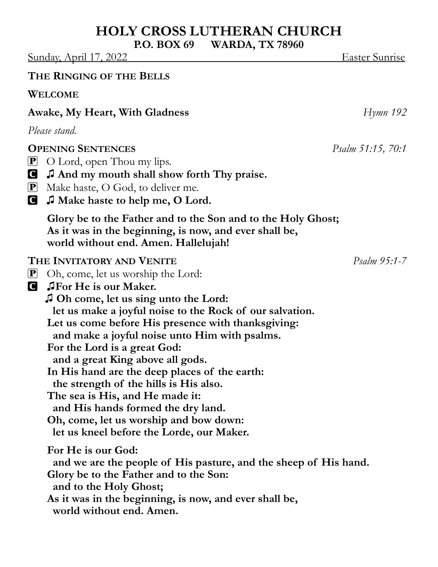# **HOLY CROSS LUTHERAN CHURCH**

**P.O. BOX 69 WARDA, TX 78960**

Sunday, April 17, 2022 Easter Sunrise

#### **THE RINGING OF THE BELLS**

**WELCOME**

### **Awake, My Heart, With Gladness** *Hymn 192*

*Please stand.*

#### **OPENING SENTENCES** *Psalm 51:15, 70:1*

- $\mathbf{P}$  O Lord, open Thou my lips.
- C **♫ And my mouth shall show forth Thy praise.**
- P Make haste, O God, to deliver me.
- C **♫ Make haste to help me, O Lord.**

**Glory be to the Father and to the Son and to the Holy Ghost; As it was in the beginning, is now, and ever shall be, world without end. Amen. Hallelujah!**

#### **THE INVITATORY AND VENITE** *Psalm 95:1-7*

- P Oh, come, let us worship the Lord:
- C **♫For He is our Maker.** 
	- **♫ Oh come, let us sing unto the Lord:**

 **let us make a joyful noise to the Rock of our salvation.**

**Let us come before His presence with thanksgiving:**

 **and make a joyful noise unto Him with psalms.**

- **For the Lord is a great God:**
	- **and a great King above all gods.**
- **In His hand are the deep places of the earth:**

 **the strength of the hills is His also.**

**The sea is His, and He made it:**

- **and His hands formed the dry land.**
- **Oh, come, let us worship and bow down:**

 **let us kneel before the Lorde, our Maker.**

**For He is our God:**

 **and we are the people of His pasture, and the sheep of His hand.**

**Glory be to the Father and to the Son:**

 **and to the Holy Ghost;**

**As it was in the beginning, is now, and ever shall be, world without end. Amen.**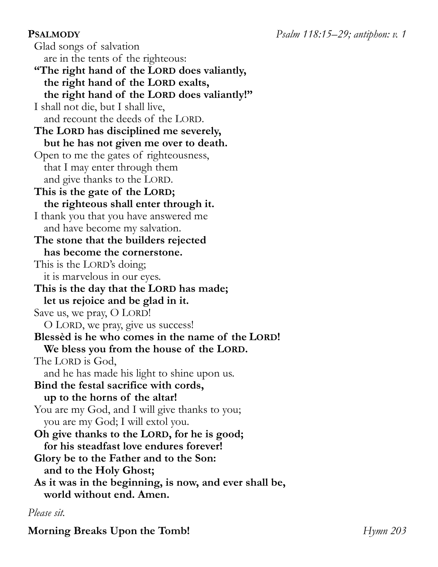Glad songs of salvation are in the tents of the righteous: **"The right hand of the LORD does valiantly, the right hand of the LORD exalts, the right hand of the LORD does valiantly!"** I shall not die, but I shall live, and recount the deeds of the LORD. **The LORD has disciplined me severely, but he has not given me over to death.** Open to me the gates of righteousness, that I may enter through them and give thanks to the LORD. **This is the gate of the LORD; the righteous shall enter through it.** I thank you that you have answered me and have become my salvation. **The stone that the builders rejected has become the cornerstone.** This is the LORD's doing; it is marvelous in our eyes. **This is the day that the LORD has made; let us rejoice and be glad in it.** Save us, we pray, O LORD! O LORD, we pray, give us success! **Blessèd is he who comes in the name of the LORD! We bless you from the house of the LORD.** The LORD is God, and he has made his light to shine upon us. **Bind the festal sacrifice with cords, up to the horns of the altar!** You are my God, and I will give thanks to you; you are my God; I will extol you. **Oh give thanks to the LORD, for he is good; for his steadfast love endures forever! Glory be to the Father and to the Son: and to the Holy Ghost; As it was in the beginning, is now, and ever shall be, world without end. Amen.**

#### *Please sit.*

**Morning Breaks Upon the Tomb!** *Hymn 203*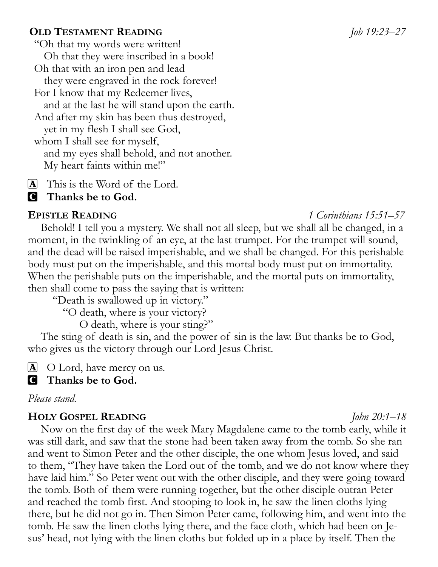#### **OLD TESTAMENT READING** *Job 19:23–27*

"Oh that my words were written! Oh that they were inscribed in a book! Oh that with an iron pen and lead they were engraved in the rock forever! For I know that my Redeemer lives, and at the last he will stand upon the earth. And after my skin has been thus destroyed, yet in my flesh I shall see God, whom I shall see for myself, and my eyes shall behold, and not another. My heart faints within me!"

[A] This is the Word of the Lord.

#### C **Thanks be to God.**

Behold! I tell you a mystery. We shall not all sleep, but we shall all be changed, in a moment, in the twinkling of an eye, at the last trumpet. For the trumpet will sound, and the dead will be raised imperishable, and we shall be changed. For this perishable body must put on the imperishable, and this mortal body must put on immortality. When the perishable puts on the imperishable, and the mortal puts on immortality, then shall come to pass the saying that is written:

"Death is swallowed up in victory."

"O death, where is your victory?

O death, where is your sting?"

The sting of death is sin, and the power of sin is the law. But thanks be to God, who gives us the victory through our Lord Jesus Christ.

 $\Delta$  O Lord, have mercy on us.

#### C **Thanks be to God.**

*Please stand.*

#### **HOLY GOSPEL READING** *John 20:1–18*

Now on the first day of the week Mary Magdalene came to the tomb early, while it was still dark, and saw that the stone had been taken away from the tomb. So she ran and went to Simon Peter and the other disciple, the one whom Jesus loved, and said to them, "They have taken the Lord out of the tomb, and we do not know where they have laid him." So Peter went out with the other disciple, and they were going toward the tomb. Both of them were running together, but the other disciple outran Peter and reached the tomb first. And stooping to look in, he saw the linen cloths lying there, but he did not go in. Then Simon Peter came, following him, and went into the tomb. He saw the linen cloths lying there, and the face cloth, which had been on Jesus' head, not lying with the linen cloths but folded up in a place by itself. Then the

#### **EPISTLE READING** *1 Corinthians 15:51–57*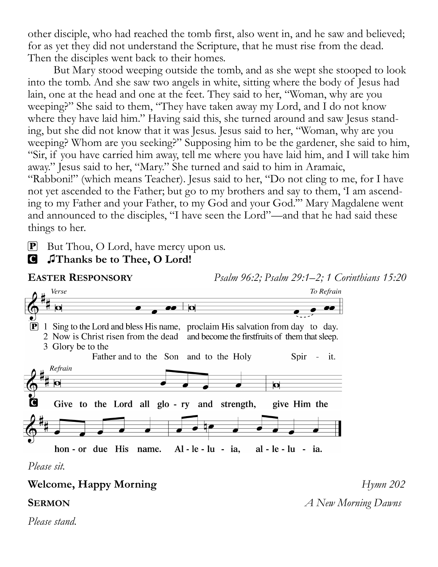other disciple, who had reached the tomb first, also went in, and he saw and believed; for as yet they did not understand the Scripture, that he must rise from the dead. Then the disciples went back to their homes.

But Mary stood weeping outside the tomb, and as she wept she stooped to look into the tomb. And she saw two angels in white, sitting where the body of Jesus had lain, one at the head and one at the feet. They said to her, "Woman, why are you weeping?" She said to them, "They have taken away my Lord, and I do not know where they have laid him." Having said this, she turned around and saw Jesus standing, but she did not know that it was Jesus. Jesus said to her, "Woman, why are you weeping? Whom are you seeking?" Supposing him to be the gardener, she said to him, "Sir, if you have carried him away, tell me where you have laid him, and I will take him away." Jesus said to her, "Mary." She turned and said to him in Aramaic, "Rabboni!" (which means Teacher). Jesus said to her, "Do not cling to me, for I have not yet ascended to the Father; but go to my brothers and say to them, 'I am ascending to my Father and your Father, to my God and your God.'" Mary Magdalene went and announced to the disciples, "I have seen the Lord"—and that he had said these things to her.

 $\mathbf{P}$  But Thou, O Lord, have mercy upon us.

#### C **♫Thanks be to Thee, O Lord!**



*Please stand.*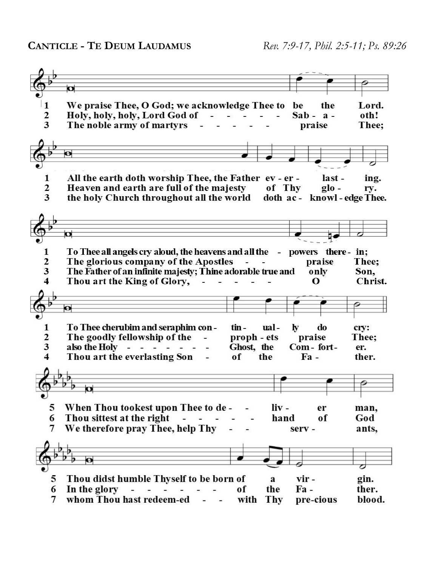|                         | $\bullet$                                                                     |                              |                 |
|-------------------------|-------------------------------------------------------------------------------|------------------------------|-----------------|
|                         |                                                                               |                              |                 |
| 1                       | We praise Thee, O God; we acknowledge Thee to                                 | be<br>the                    | Lord.           |
| $\frac{2}{3}$           | Holy, holy, holy, Lord God of<br>깤                                            | $Sab - a -$                  | oth!            |
|                         | The noble army of martyrs                                                     | praise                       | Thee;           |
|                         |                                                                               |                              |                 |
|                         |                                                                               |                              |                 |
|                         |                                                                               |                              |                 |
|                         |                                                                               |                              |                 |
| 1                       | All the earth doth worship Thee, the Father ev - er -                         | last -                       | ing.            |
| $\frac{2}{3}$           | Heaven and earth are full of the majesty<br>of Thy                            | $g$ lo -                     | ry.             |
|                         | the holy Church throughout all the world                                      | doth ac - knowl - edge Thee. |                 |
|                         |                                                                               |                              |                 |
|                         |                                                                               |                              |                 |
|                         |                                                                               |                              |                 |
|                         |                                                                               |                              |                 |
|                         |                                                                               |                              |                 |
| 1                       | To Thee all angels cry aloud, the heavens and all the - powers there - in;    |                              |                 |
| $\frac{2}{3}$           | The glorious company of the Apostles<br>$\blacksquare$                        | praise                       | Thee;           |
| $\overline{\mathbf{4}}$ | The Father of an infinite majesty; Thine adorable true and                    | only                         | Son.            |
|                         | Thou art the King of Glory,                                                   | О                            | Christ.         |
|                         |                                                                               |                              |                 |
|                         |                                                                               |                              |                 |
|                         |                                                                               |                              |                 |
|                         | o                                                                             |                              |                 |
|                         |                                                                               |                              |                 |
| 1                       | To Thee cherubim and seraphim con-<br>tin -<br>ual-                           | do<br>$\bf{v}$               | cry:            |
|                         | The goodly fellowship of the<br>proph - ets                                   | praise                       | Thee;           |
| $\frac{2}{3}$           | also the Holy -<br>Ghost, the                                                 | Com-fort-                    | er.             |
| $\overline{\mathbf{4}}$ | Thou art the everlasting Son<br>the<br>of                                     | $\mathbf{F}$ a -             | ther.           |
|                         |                                                                               |                              |                 |
|                         |                                                                               |                              |                 |
|                         | o                                                                             |                              |                 |
|                         |                                                                               |                              |                 |
| 5                       | When Thou tookest upon Thee to de -<br>liv -                                  | er                           | man,            |
| 6                       | Thou sittest at the right<br>hand                                             | of                           | God             |
| 7                       | We therefore pray Thee, help Thy                                              | serv -                       | ants,           |
|                         |                                                                               |                              |                 |
|                         |                                                                               |                              |                 |
|                         | Å                                                                             |                              |                 |
|                         |                                                                               |                              |                 |
| 5                       | Thou didst humble Thyself to be born of<br>a                                  | vir -                        | gin.            |
| 6                       | In the glory<br>of<br>the<br>$\sim$<br>whom Thou hast redeem-ed<br><b>Thy</b> | $Fa -$                       | ther.<br>blood. |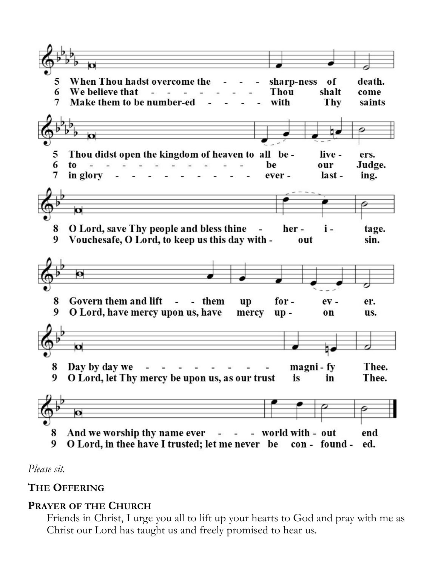

*Please sit.*

# **THE OFFERING**

# **PRAYER OF THE CHURCH**

Friends in Christ, I urge you all to lift up your hearts to God and pray with me as Christ our Lord has taught us and freely promised to hear us.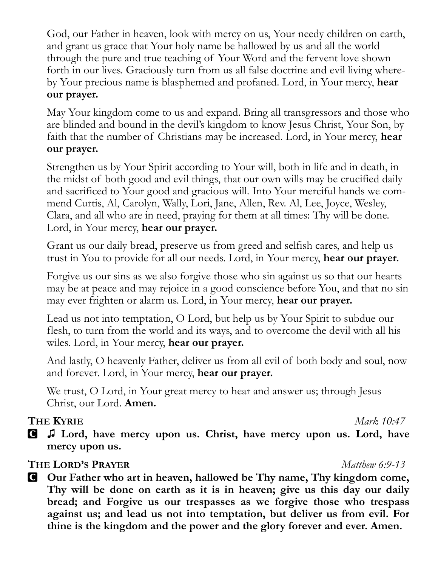God, our Father in heaven, look with mercy on us, Your needy children on earth, and grant us grace that Your holy name be hallowed by us and all the world through the pure and true teaching of Your Word and the fervent love shown forth in our lives. Graciously turn from us all false doctrine and evil living whereby Your precious name is blasphemed and profaned. Lord, in Your mercy, **hear our prayer.**

May Your kingdom come to us and expand. Bring all transgressors and those who are blinded and bound in the devil's kingdom to know Jesus Christ, Your Son, by faith that the number of Christians may be increased. Lord, in Your mercy, **hear our prayer.**

Strengthen us by Your Spirit according to Your will, both in life and in death, in the midst of both good and evil things, that our own wills may be crucified daily and sacrificed to Your good and gracious will. Into Your merciful hands we commend Curtis, Al, Carolyn, Wally, Lori, Jane, Allen, Rev. Al, Lee, Joyce, Wesley, Clara, and all who are in need, praying for them at all times: Thy will be done. Lord, in Your mercy, **hear our prayer.**

Grant us our daily bread, preserve us from greed and selfish cares, and help us trust in You to provide for all our needs. Lord, in Your mercy, **hear our prayer.**

Forgive us our sins as we also forgive those who sin against us so that our hearts may be at peace and may rejoice in a good conscience before You, and that no sin may ever frighten or alarm us. Lord, in Your mercy, **hear our prayer.**

Lead us not into temptation, O Lord, but help us by Your Spirit to subdue our flesh, to turn from the world and its ways, and to overcome the devil with all his wiles. Lord, in Your mercy, **hear our prayer.**

And lastly, O heavenly Father, deliver us from all evil of both body and soul, now and forever. Lord, in Your mercy, **hear our prayer.**

We trust, O Lord, in Your great mercy to hear and answer us; through Jesus Christ, our Lord. **Amen.**

### **THE KYRIE** *Mark 10:47*

C **♫ Lord, have mercy upon us. Christ, have mercy upon us. Lord, have mercy upon us.**

### **THE LORD'S PRAYER** *Matthew 6:9-13*

C **Our Father who art in heaven, hallowed be Thy name, Thy kingdom come, Thy will be done on earth as it is in heaven; give us this day our daily bread; and Forgive us our trespasses as we forgive those who trespass against us; and lead us not into temptation, but deliver us from evil. For thine is the kingdom and the power and the glory forever and ever. Amen.**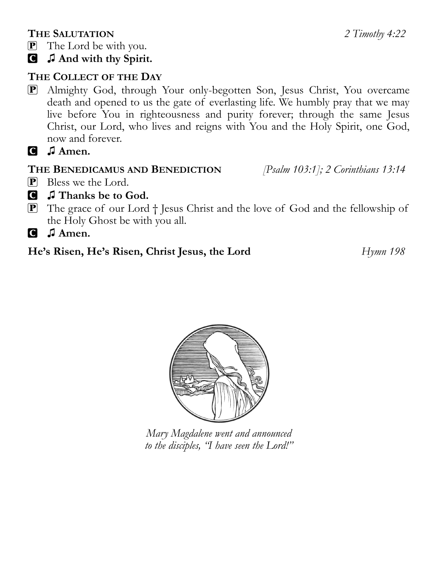### **THE SALUTATION** *2 Timothy 4:22*

- P The Lord be with you.
- C **♫ And with thy Spirit.**

# **THE COLLECT OF THE DAY**

- P Almighty God, through Your only-begotten Son, Jesus Christ, You overcame death and opened to us the gate of everlasting life. We humbly pray that we may live before You in righteousness and purity forever; through the same Jesus Christ, our Lord, who lives and reigns with You and the Holy Spirit, one God, now and forever.
- C **♫ Amen.**

# **THE BENEDICAMUS AND BENEDICTION** *[Psalm 103:1]; 2 Corinthians 13:14*

- **P** Bless we the Lord.
- C **♫ Thanks be to God.**
- P The grace of our Lord † Jesus Christ and the love of God and the fellowship of the Holy Ghost be with you all.

C **♫ Amen.**

# **He's Risen, He's Risen, Christ Jesus, the Lord** *Hymn 198*



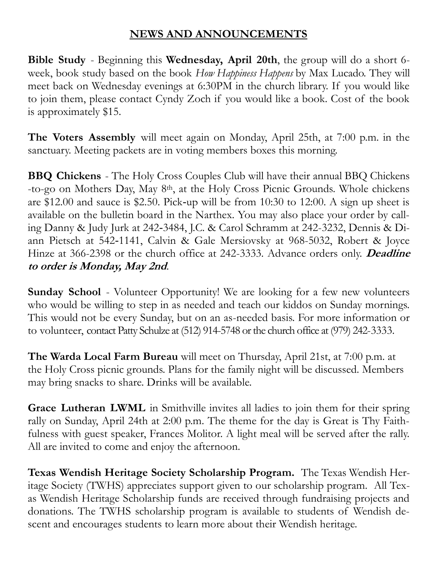### **NEWS AND ANNOUNCEMENTS**

**Bible Study** - Beginning this **Wednesday, April 20th**, the group will do a short 6 week, book study based on the book *How Happiness Happens* by Max Lucado. They will meet back on Wednesday evenings at 6:30PM in the church library. If you would like to join them, please contact Cyndy Zoch if you would like a book. Cost of the book is approximately \$15.

**The Voters Assembly** will meet again on Monday, April 25th, at 7:00 p.m. in the sanctuary. Meeting packets are in voting members boxes this morning.

**BBQ Chickens** - The Holy Cross Couples Club will have their annual BBQ Chickens -to-go on Mothers Day, May 8th, at the Holy Cross Picnic Grounds. Whole chickens are \$12.00 and sauce is \$2.50. Pick-up will be from 10:30 to 12:00. A sign up sheet is available on the bulletin board in the Narthex. You may also place your order by calling Danny & Judy Jurk at 242‑3484, J.C. & Carol Schramm at 242-3232, Dennis & Diann Pietsch at 542‑1141, Calvin & Gale Mersiovsky at 968-5032, Robert & Joyce Hinze at 366-2398 or the church office at 242-3333. Advance orders only. **Deadline to order is Monday, May 2nd**.

**Sunday School** - Volunteer Opportunity! We are looking for a few new volunteers who would be willing to step in as needed and teach our kiddos on Sunday mornings. This would not be every Sunday, but on an as-needed basis. For more information or to volunteer, contact Patty Schulze at (512) 914-5748 or the church office at (979) 242-3333.

**The Warda Local Farm Bureau** will meet on Thursday, April 21st, at 7:00 p.m. at the Holy Cross picnic grounds. Plans for the family night will be discussed. Members may bring snacks to share. Drinks will be available.

**Grace Lutheran LWML** in Smithville invites all ladies to join them for their spring rally on Sunday, April 24th at 2:00 p.m. The theme for the day is Great is Thy Faithfulness with guest speaker, Frances Molitor. A light meal will be served after the rally. All are invited to come and enjoy the afternoon.

**Texas Wendish Heritage Society Scholarship Program.** The Texas Wendish Heritage Society (TWHS) appreciates support given to our scholarship program. All Texas Wendish Heritage Scholarship funds are received through fundraising projects and donations. The TWHS scholarship program is available to students of Wendish descent and encourages students to learn more about their Wendish heritage.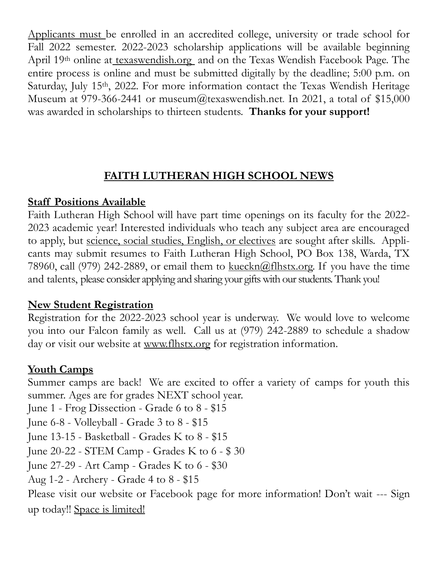Applicants must be enrolled in an accredited college, university or trade school for Fall 2022 semester. 2022-2023 scholarship applications will be available beginning April 19th online at [texaswendish.org](http://www.texaswendish.org) and on the Texas Wendish Facebook Page. The entire process is online and must be submitted digitally by the deadline; 5:00 p.m. on Saturday, July 15<sup>th</sup>, 2022. For more information contact the Texas Wendish Heritage Museum at 979-366-2441 or museum@texaswendish.net. In 2021, a total of  $$15,000$ was awarded in scholarships to thirteen students. **Thanks for your support!**

# **FAITH LUTHERAN HIGH SCHOOL NEWS**

# **Staff Positions Available**

Faith Lutheran High School will have part time openings on its faculty for the 2022- 2023 academic year! Interested individuals who teach any subject area are encouraged to apply, but science, social studies, English, or electives are sought after skills. Applicants may submit resumes to Faith Lutheran High School, PO Box 138, Warda, TX 78960, call (979) 242-2889, or email them to  $\frac{\text{kueckn}(\hat{\omega}f\text{lhstx.}^{\text{or}})}{\text{kteckn}(\hat{\omega}f\text{lhstx.}^{\text{or}})}$ . If you have the time and talents, please consider applying and sharing your gifts with our students. Thank you!

# **New Student Registration**

Registration for the 2022-2023 school year is underway. We would love to welcome you into our Falcon family as well. Call us at (979) 242-2889 to schedule a shadow day or visit our website at [www.flhstx.org](http://www.flhstx.org) for registration information.

### **Youth Camps**

Summer camps are back! We are excited to offer a variety of camps for youth this summer. Ages are for grades NEXT school year. June 1 - Frog Dissection - Grade 6 to 8 - \$15 June 6-8 - Volleyball - Grade 3 to 8 - \$15 June 13-15 - Basketball - Grades K to 8 - \$15 June 20-22 - STEM Camp - Grades K to 6 - \$ 30 June 27-29 - Art Camp - Grades K to 6 - \$30 Aug 1-2 - Archery - Grade 4 to 8 - \$15 Please visit our website or Facebook page for more information! Don't wait --- Sign up today!! Space is limited!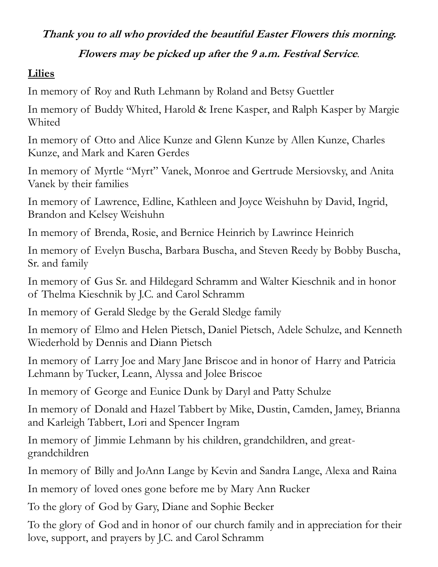### **Thank you to all who provided the beautiful Easter Flowers this morning.**

#### **Flowers may be picked up after the 9 a.m. Festival Service***.*

#### **Lilies**

In memory of Roy and Ruth Lehmann by Roland and Betsy Guettler

In memory of Buddy Whited, Harold & Irene Kasper, and Ralph Kasper by Margie Whited

In memory of Otto and Alice Kunze and Glenn Kunze by Allen Kunze, Charles Kunze, and Mark and Karen Gerdes

In memory of Myrtle "Myrt" Vanek, Monroe and Gertrude Mersiovsky, and Anita Vanek by their families

In memory of Lawrence, Edline, Kathleen and Joyce Weishuhn by David, Ingrid, Brandon and Kelsey Weishuhn

In memory of Brenda, Rosie, and Bernice Heinrich by Lawrince Heinrich

In memory of Evelyn Buscha, Barbara Buscha, and Steven Reedy by Bobby Buscha, Sr. and family

In memory of Gus Sr. and Hildegard Schramm and Walter Kieschnik and in honor of Thelma Kieschnik by J.C. and Carol Schramm

In memory of Gerald Sledge by the Gerald Sledge family

In memory of Elmo and Helen Pietsch, Daniel Pietsch, Adele Schulze, and Kenneth Wiederhold by Dennis and Diann Pietsch

In memory of Larry Joe and Mary Jane Briscoe and in honor of Harry and Patricia Lehmann by Tucker, Leann, Alyssa and Jolee Briscoe

In memory of George and Eunice Dunk by Daryl and Patty Schulze

In memory of Donald and Hazel Tabbert by Mike, Dustin, Camden, Jamey, Brianna and Karleigh Tabbert, Lori and Spencer Ingram

In memory of Jimmie Lehmann by his children, grandchildren, and greatgrandchildren

In memory of Billy and JoAnn Lange by Kevin and Sandra Lange, Alexa and Raina

In memory of loved ones gone before me by Mary Ann Rucker

To the glory of God by Gary, Diane and Sophie Becker

To the glory of God and in honor of our church family and in appreciation for their love, support, and prayers by J.C. and Carol Schramm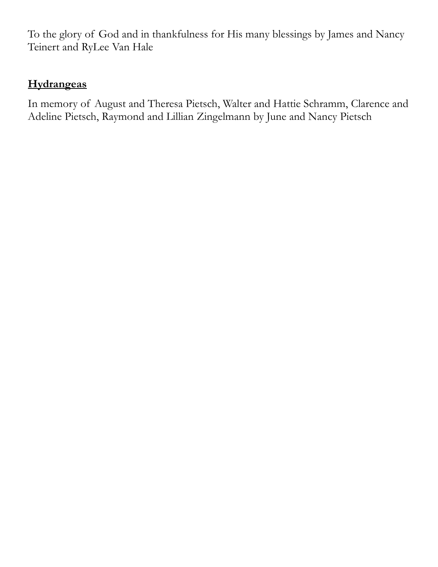To the glory of God and in thankfulness for His many blessings by James and Nancy Teinert and RyLee Van Hale

# **Hydrangeas**

In memory of August and Theresa Pietsch, Walter and Hattie Schramm, Clarence and Adeline Pietsch, Raymond and Lillian Zingelmann by June and Nancy Pietsch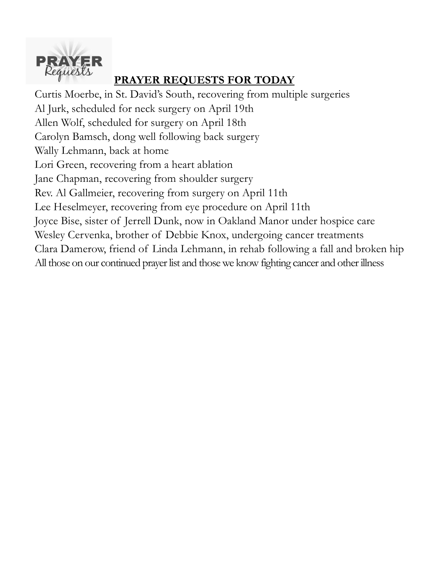

# **PRAYER REQUESTS FOR TODAY**

Curtis Moerbe, in St. David's South, recovering from multiple surgeries Al Jurk, scheduled for neck surgery on April 19th Allen Wolf, scheduled for surgery on April 18th Carolyn Bamsch, dong well following back surgery Wally Lehmann, back at home Lori Green, recovering from a heart ablation Jane Chapman, recovering from shoulder surgery Rev. Al Gallmeier, recovering from surgery on April 11th Lee Heselmeyer, recovering from eye procedure on April 11th Joyce Bise, sister of Jerrell Dunk, now in Oakland Manor under hospice care Wesley Cervenka, brother of Debbie Knox, undergoing cancer treatments Clara Damerow, friend of Linda Lehmann, in rehab following a fall and broken hip All those on our continued prayer list and those we know fighting cancer and other illness